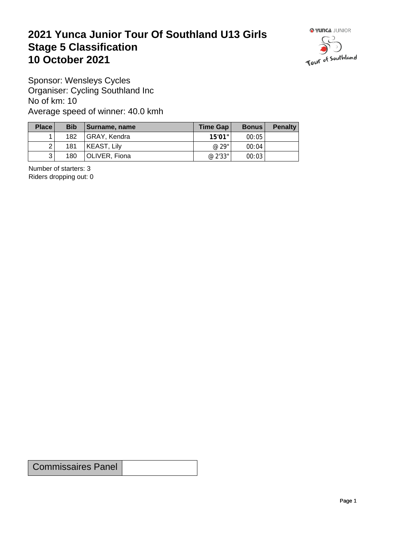## **2021 Yunca Junior Tour Of Southland U13 Girls** Stage 5 Classification<br>10 October 2021 **10 October 2021**



Sponsor: Wensleys Cycles Organiser: Cycling Southland Inc No of km: 10 Average speed of winner: 40.0 kmh

| Place          | <b>Bib</b> | Surname, name | Time Gap | <b>Bonus</b> | <b>Penalty</b> |
|----------------|------------|---------------|----------|--------------|----------------|
|                | 182        | GRAY, Kendra  | 15'01"   | 00:05        |                |
| 2 <sup>1</sup> | 181        | KEAST, Lily   | @ 29"    | 00:04        |                |
| 3              | 180        | OLIVER, Fiona | @ 2'33"  | 00:03        |                |

Number of starters: 3 Riders dropping out: 0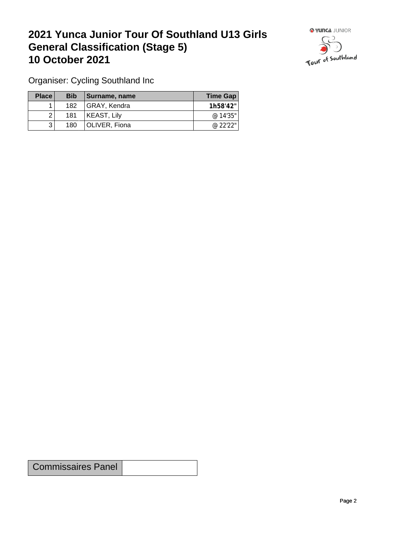## **2021 Yunca Junior Tour Of Southland U13 Girls General Classification (Stage 5)**<br> **10 October 2021 10 October 2021**



Organiser: Cycling Southland Inc

| Place | <b>Bib</b> | / Surname, name | Time Gap |
|-------|------------|-----------------|----------|
|       | 182        | GRAY, Kendra    | 1h58'42" |
|       | 181        | KEAST, Lily     | @ 14'35" |
|       | 180        | OLIVER, Fiona   | @ 22'22" |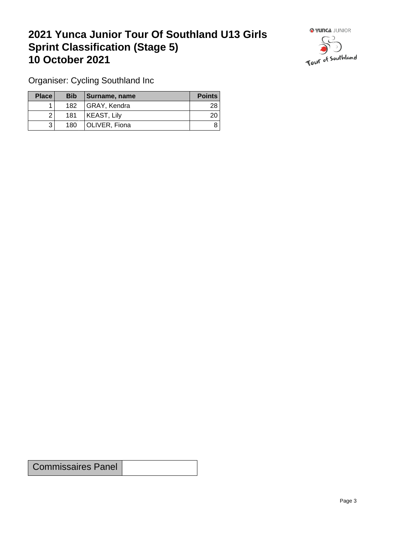## **2021 Yunca Junior Tour Of Southland U13 Girls Sprint Classification (Stage 5) 10 October 2021 10 October 2021**



Organiser: Cycling Southland Inc

| Place        | <b>Bib</b> | Surname, name | <b>Points</b> |
|--------------|------------|---------------|---------------|
|              | 182        | GRAY, Kendra  | 28            |
|              | 181        | KEAST, Lily   | 20            |
| $\mathbf{r}$ | 180        | OLIVER, Fiona | 8             |